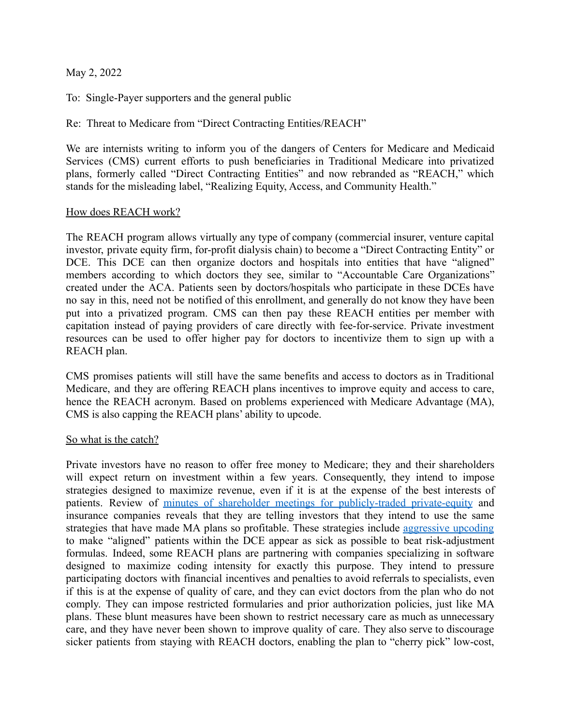May 2, 2022

To: Single-Payer supporters and the general public

Re: Threat to Medicare from "Direct Contracting Entities/REACH"

We are internists writing to inform you of the dangers of Centers for Medicare and Medicaid Services (CMS) current efforts to push beneficiaries in Traditional Medicare into privatized plans, formerly called "Direct Contracting Entities" and now rebranded as "REACH," which stands for the misleading label, "Realizing Equity, Access, and Community Health."

## How does REACH work?

The REACH program allows virtually any type of company (commercial insurer, venture capital investor, private equity firm, for-profit dialysis chain) to become a "Direct Contracting Entity" or DCE. This DCE can then organize doctors and hospitals into entities that have "aligned" members according to which doctors they see, similar to "Accountable Care Organizations" created under the ACA. Patients seen by doctors/hospitals who participate in these DCEs have no say in this, need not be notified of this enrollment, and generally do not know they have been put into a privatized program. CMS can then pay these REACH entities per member with capitation instead of paying providers of care directly with fee-for-service. Private investment resources can be used to offer higher pay for doctors to incentivize them to sign up with a REACH plan.

CMS promises patients will still have the same benefits and access to doctors as in Traditional Medicare, and they are offering REACH plans incentives to improve equity and access to care, hence the REACH acronym. Based on problems experienced with Medicare Advantage (MA), CMS is also capping the REACH plans' ability to upcode.

## So what is the catch?

Private investors have no reason to offer free money to Medicare; they and their shareholders will expect return on investment within a few years. Consequently, they intend to impose strategies designed to maximize revenue, even if it is at the expense of the best interests of patients. Review of minutes of shareholder meetings for [publicly-traded](https://www.fool.com/earnings/call-transcripts/2021/03/11/oak-street-health-inc-osh-q4-2020-earnings-call-tr/) private-equity and insurance companies reveals that they are telling investors that they intend to use the same strategies that have made MA plans so profitable. These strategies include [aggressive](https://www.latimes.com/business/story/2021-08-04/government-kaiser-medicare-fraud) upcoding to make "aligned" patients within the DCE appear as sick as possible to beat risk-adjustment formulas. Indeed, some REACH plans are partnering with companies specializing in software designed to maximize coding intensity for exactly this purpose. They intend to pressure participating doctors with financial incentives and penalties to avoid referrals to specialists, even if this is at the expense of quality of care, and they can evict doctors from the plan who do not comply. They can impose restricted formularies and prior authorization policies, just like MA plans. These blunt measures have been shown to restrict necessary care as much as unnecessary care, and they have never been shown to improve quality of care. They also serve to discourage sicker patients from staying with REACH doctors, enabling the plan to "cherry pick" low-cost,